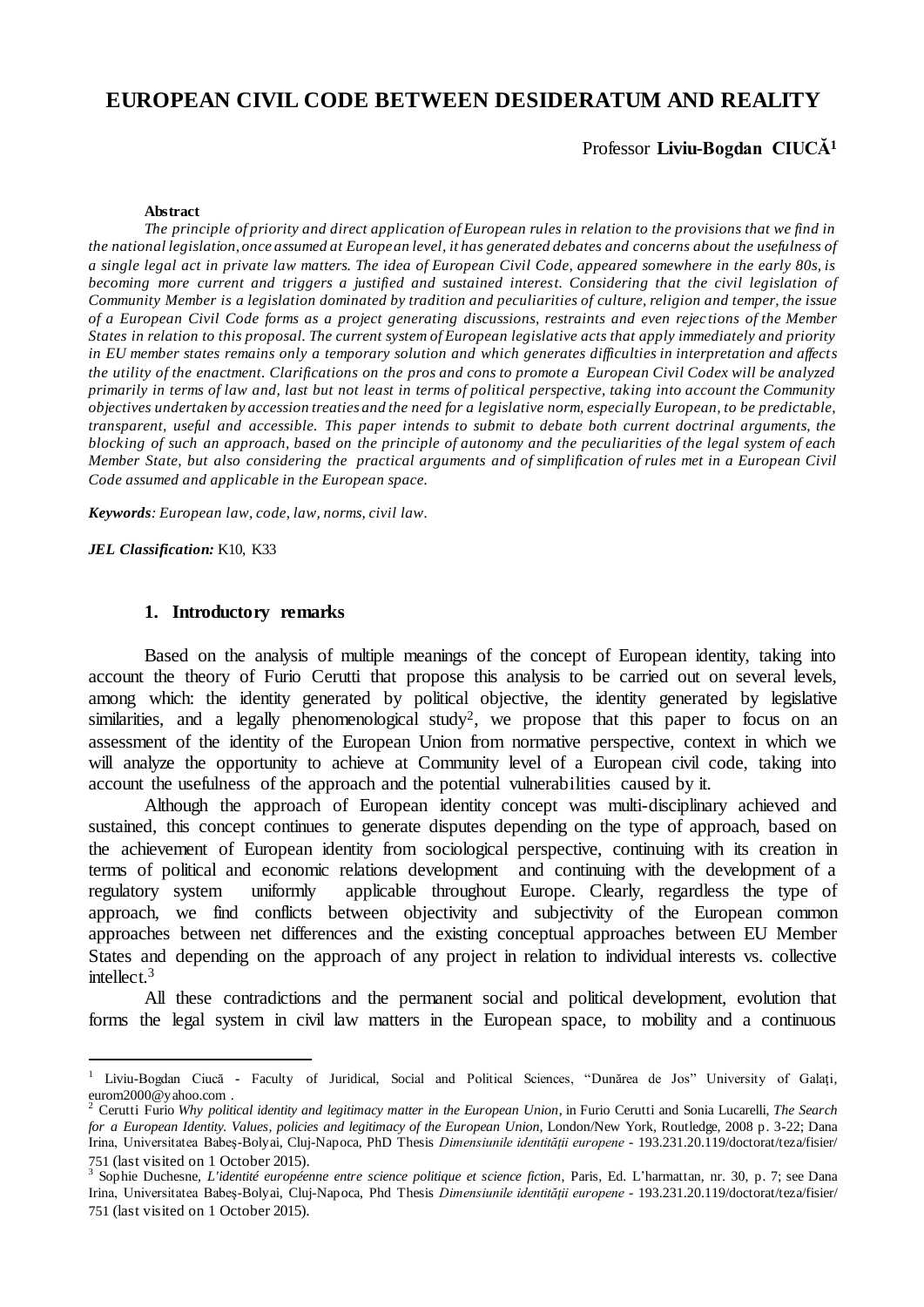# **EUROPEAN CIVIL CODE BETWEEN DESIDERATUM AND REALITY**

## Professor **Liviu-Bogdan CIUCĂ<sup>1</sup>**

#### **Abstract**

*The principle of priority and direct application of European rules in relation to the provisions that we find in the national legislation, once assumed at European level, it has generated debates and concerns about the usefulness of a single legal act in private law matters. The idea of European Civil Code, appeared somewhere in the early 80s, is becoming more current and triggers a justified and sustained interest. Considering that the civil legislation of Community Member is a legislation dominated by tradition and peculiarities of culture, religion and temper, the issue of a European Civil Code forms as a project generating discussions, restraints and even rejec tions of the Member States in relation to this proposal. The current system of European legislative acts that apply immediately and priority in EU member states remains only a temporary solution and which generates difficulties in interpretation and affects the utility of the enactment. Clarifications on the pros and cons to promote a European Civil Codex will be analyzed primarily in terms of law and, last but not least in terms of political perspective, taking into account the Community objectives undertaken by accession treaties and the need for a legislative norm, especially European, to be predictable, transparent, useful and accessible. This paper intends to submit to debate both current doctrinal arguments, the blocking of such an approach, based on the principle of autonomy and the peculiarities of the legal system of each Member State, but also considering the practical arguments and of simplification of rules met in a European Civil Code assumed and applicable in the European space.* 

*Keywords: European law, code, law, norms, civil law.*

*JEL Classification:* K10, K33

l

#### **1. Introductory remarks**

Based on the analysis of multiple meanings of the concept of European identity, taking into account the theory of Furio Cerutti that propose this analysis to be carried out on several levels, among which: the identity generated by political objective, the identity generated by legislative similarities, and a legally phenomenological study<sup>2</sup>, we propose that this paper to focus on an assessment of the identity of the European Union from normative perspective, context in which we will analyze the opportunity to achieve at Community level of a European civil code, taking into account the usefulness of the approach and the potential vulnerabilities caused by it.

Although the approach of European identity concept was multi-disciplinary achieved and sustained, this concept continues to generate disputes depending on the type of approach, based on the achievement of European identity from sociological perspective, continuing with its creation in terms of political and economic relations development and continuing with the development of a regulatory system uniformly applicable throughout Europe. Clearly, regardless the type of approach, we find conflicts between objectivity and subjectivity of the European common approaches between net differences and the existing conceptual approaches between EU Member States and depending on the approach of any project in relation to individual interests vs. collective intellect.<sup>3</sup>

All these contradictions and the permanent social and political development, evolution that forms the legal system in civil law matters in the European space, to mobility and a continuous

<sup>1</sup> Liviu-Bogdan Ciucă **-** Faculty of Juridical, Social and Political Sciences, "Dunărea de Jos" University of Galaţi, [eurom2000@yahoo.com](mailto:eurom2000@yahoo.com) .

<sup>2</sup> Cerutti Furio *Why political identity and legitimacy matter in the European Union*, in Furio Cerutti and Sonia Lucarelli, *The Search for a European Identity. Values, policies and legitimacy of the European Union,* London/New York, Routledge, 2008 p. 3-22; Dana Irina, Universitatea Babeş-Bolyai, Cluj-Napoca, PhD Thesis *Dimensiunile identităţii europene* - [193.231.20.119/doctorat/teza/fisier/](http://www.193.231.20.119/doctorat/teza/fisier/751.ro) [751](http://www.193.231.20.119/doctorat/teza/fisier/751.ro) (last visited on 1 October 2015).

<sup>3</sup> Sophie Duchesne, *L'identité européenne entre science politique et science fiction*, Paris, Ed. L'harmattan, nr. 30, p. 7; see Dana Irina, Universitatea Babeş-Bolyai, Cluj-Napoca, Phd Thesis *Dimensiunile identităţii europene* - [193.231.20.119/doctorat/teza/fisier/](http://www.193.231.20.119/doctorat/teza/fisier/751.ro) [751](http://www.193.231.20.119/doctorat/teza/fisier/751.ro) (last visited on 1 October 2015).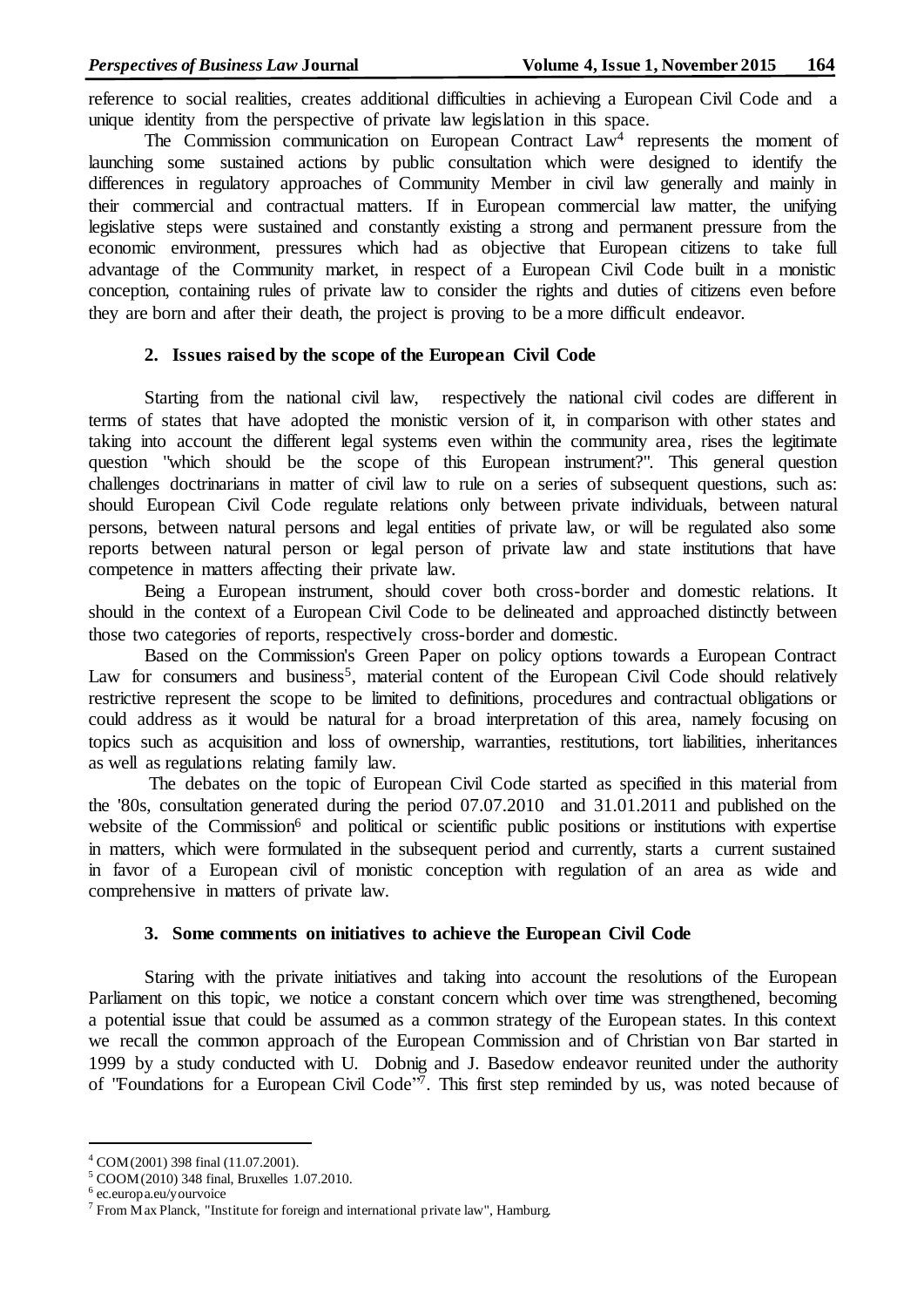reference to social realities, creates additional difficulties in achieving a European Civil Code and a unique identity from the perspective of private law legislation in this space.

The Commission communication on European Contract Law<sup>4</sup> represents the moment of launching some sustained actions by public consultation which were designed to identify the differences in regulatory approaches of Community Member in civil law generally and mainly in their commercial and contractual matters. If in European commercial law matter, the unifying legislative steps were sustained and constantly existing a strong and permanent pressure from the economic environment, pressures which had as objective that European citizens to take full advantage of the Community market, in respect of a European Civil Code built in a monistic conception, containing rules of private law to consider the rights and duties of citizens even before they are born and after their death, the project is proving to be a more difficult endeavor.

# **2. Issues raised by the scope of the European Civil Code**

Starting from the national civil law, respectively the national civil codes are different in terms of states that have adopted the monistic version of it, in comparison with other states and taking into account the different legal systems even within the community area, rises the legitimate question "which should be the scope of this European instrument?". This general question challenges doctrinarians in matter of civil law to rule on a series of subsequent questions, such as: should European Civil Code regulate relations only between private individuals, between natural persons, between natural persons and legal entities of private law, or will be regulated also some reports between natural person or legal person of private law and state institutions that have competence in matters affecting their private law.

Being a European instrument, should cover both cross-border and domestic relations. It should in the context of a European Civil Code to be delineated and approached distinctly between those two categories of reports, respectively cross-border and domestic.

Based on the Commission's Green Paper on policy options towards a European Contract Law for consumers and business<sup>5</sup>, material content of the European Civil Code should relatively restrictive represent the scope to be limited to definitions, procedures and contractual obligations or could address as it would be natural for a broad interpretation of this area, namely focusing on topics such as acquisition and loss of ownership, warranties, restitutions, tort liabilities, inheritances as well as regulations relating family law.

The debates on the topic of European Civil Code started as specified in this material from the '80s, consultation generated during the period 07.07.2010 and 31.01.2011 and published on the website of the Commission<sup>6</sup> and political or scientific public positions or institutions with expertise in matters, which were formulated in the subsequent period and currently, starts a current sustained in favor of a European civil of monistic conception with regulation of an area as wide and comprehensive in matters of private law.

### **3. Some comments on initiatives to achieve the European Civil Code**

Staring with the private initiatives and taking into account the resolutions of the European Parliament on this topic, we notice a constant concern which over time was strengthened, becoming a potential issue that could be assumed as a common strategy of the European states. In this context we recall the common approach of the European Commission and of Christian von Bar started in 1999 by a study conducted with U. Dobnig and J. Basedow endeavor reunited under the authority of "Foundations for a European Civil Code"<sup>7</sup>. This first step reminded by us, was noted because of

l

<sup>4</sup> COM(2001) 398 final (11.07.2001).

<sup>5</sup> COOM(2010) 348 final, Bruxelles 1.07.2010.

<sup>6</sup> ec.europa.eu/yourvoice

 $7$  From Max Planck, "Institute for foreign and international private law", Hamburg.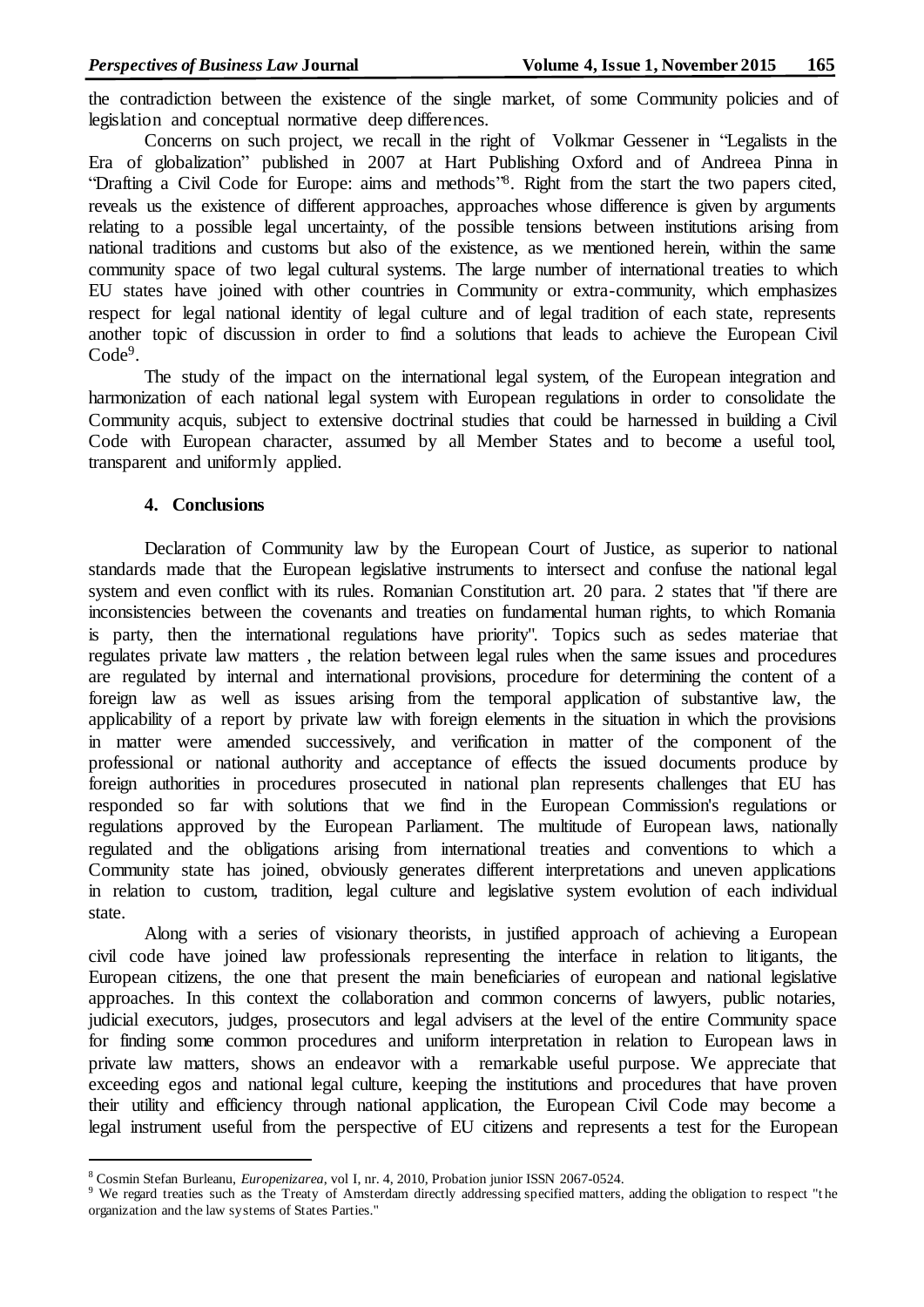the contradiction between the existence of the single market, of some Community policies and of legislation and conceptual normative deep differences.

Concerns on such project, we recall in the right of Volkmar Gessener in "Legalists in the Era of globalization" published in 2007 at Hart Publishing Oxford and of Andreea Pinna in "Drafting a Civil Code for Europe: aims and methods"<sup>8</sup>. Right from the start the two papers cited, reveals us the existence of different approaches, approaches whose difference is given by arguments relating to a possible legal uncertainty, of the possible tensions between institutions arising from national traditions and customs but also of the existence, as we mentioned herein, within the same community space of two legal cultural systems. The large number of international treaties to which EU states have joined with other countries in Community or extra-community, which emphasizes respect for legal national identity of legal culture and of legal tradition of each state, represents another topic of discussion in order to find a solutions that leads to achieve the European Civil Code<sup>9</sup>.

The study of the impact on the international legal system, of the European integration and harmonization of each national legal system with European regulations in order to consolidate the Community acquis, subject to extensive doctrinal studies that could be harnessed in building a Civil Code with European character, assumed by all Member States and to become a useful tool, transparent and uniformly applied.

### **4. Conclusions**

l

Declaration of Community law by the European Court of Justice, as superior to national standards made that the European legislative instruments to intersect and confuse the national legal system and even conflict with its rules. Romanian Constitution art. 20 para. 2 states that "if there are inconsistencies between the covenants and treaties on fundamental human rights, to which Romania is party, then the international regulations have priority". Topics such as sedes materiae that regulates private law matters , the relation between legal rules when the same issues and procedures are regulated by internal and international provisions, procedure for determining the content of a foreign law as well as issues arising from the temporal application of substantive law, the applicability of a report by private law with foreign elements in the situation in which the provisions in matter were amended successively, and verification in matter of the component of the professional or national authority and acceptance of effects the issued documents produce by foreign authorities in procedures prosecuted in national plan represents challenges that EU has responded so far with solutions that we find in the European Commission's regulations or regulations approved by the European Parliament. The multitude of European laws, nationally regulated and the obligations arising from international treaties and conventions to which a Community state has joined, obviously generates different interpretations and uneven applications in relation to custom, tradition, legal culture and legislative system evolution of each individual state.

Along with a series of visionary theorists, in justified approach of achieving a European civil code have joined law professionals representing the interface in relation to litigants, the European citizens, the one that present the main beneficiaries of european and national legislative approaches. In this context the collaboration and common concerns of lawyers, public notaries, judicial executors, judges, prosecutors and legal advisers at the level of the entire Community space for finding some common procedures and uniform interpretation in relation to European laws in private law matters, shows an endeavor with a remarkable useful purpose. We appreciate that exceeding egos and national legal culture, keeping the institutions and procedures that have proven their utility and efficiency through national application, the European Civil Code may become a legal instrument useful from the perspective of EU citizens and represents a test for the European

<sup>8</sup> Cosmin Stefan Burleanu, *Europenizarea*, vol I, nr. 4, 2010, Probation junior ISSN 2067-0524.

<sup>&</sup>lt;sup>9</sup> We regard treaties such as the Treaty of Amsterdam directly addressing specified matters, adding the obligation to respect "the organization and the law systems of States Parties."